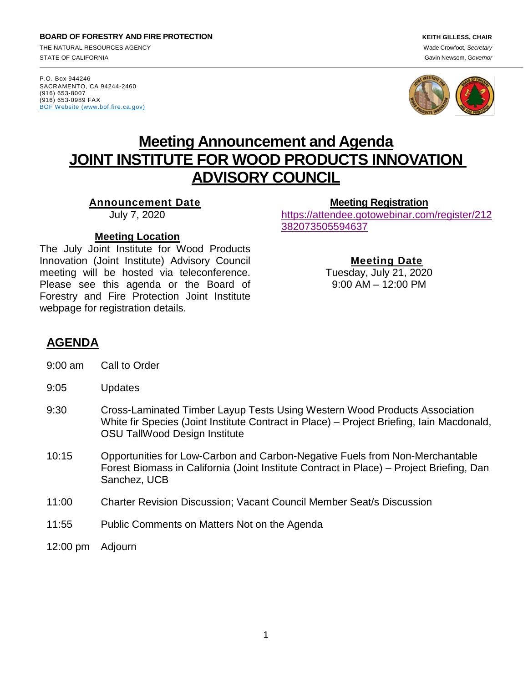**BOARD OF FORESTRY AND FIRE PROTECTION** *KEITH GILLESS, CHAIR* THE NATURAL RESOURCES AGENCY Wade Crowfoot, *Secretary* STATE OF CALIFORNIA Gavin Newsom, G*overnor*

P.O. Box 944246 SACRAMENTO, CA 94244-2460 (916) 653-8007 (916) 653-0989 FAX [BOF Website \(www.bof.fire.ca.gov\)](http://www.bof.fire.ca.gov/)





# **Meeting Announcement and Agenda JOINT INSTITUTE FOR WOOD PRODUCTS INNOVATION ADVISORY COUNCIL**

**Announcement Date**

July 7, 2020

**Meeting [Registration](https://attendee.gotowebinar.com/register/4831426023569269262)**

[https://attendee.gotowebinar.com/register/212](https://gcc01.safelinks.protection.outlook.com/?url=https%3A%2F%2Fattendee.gotowebinar.com%2Fregister%2F212382073505594637&data=02%7C01%7Ckatie.harrell%40bof.ca.gov%7Cd830567eca6c48ebcff508d80cb72eda%7C447a4ca05405454dad68c98a520261f8%7C1%7C0%7C637273328199742514&sdata=O7seURabPDIfxYvaAeQli80uY%2FzSgluIU1Fh2iS0qeQ%3D&reserved=0) [382073505594637](https://gcc01.safelinks.protection.outlook.com/?url=https%3A%2F%2Fattendee.gotowebinar.com%2Fregister%2F212382073505594637&data=02%7C01%7Ckatie.harrell%40bof.ca.gov%7Cd830567eca6c48ebcff508d80cb72eda%7C447a4ca05405454dad68c98a520261f8%7C1%7C0%7C637273328199742514&sdata=O7seURabPDIfxYvaAeQli80uY%2FzSgluIU1Fh2iS0qeQ%3D&reserved=0)

#### **Meeting Location**

The July Joint Institute for Wood Products Innovation (Joint Institute) Advisory Council meeting will be hosted via teleconference. Please see this agenda or the Board of Forestry and Fire Protection Joint Institute webpage for registration details.

**Meeting Date**

Tuesday, July 21, 2020 9:00 AM – 12:00 PM

# **AGENDA**

- 9:00 am Call to Order
- 9:05 Updates
- 9:30 Cross-Laminated Timber Layup Tests Using Western Wood Products Association White fir Species (Joint Institute Contract in Place) – Project Briefing, Iain Macdonald, OSU TallWood Design Institute
- 10:15 Opportunities for Low-Carbon and Carbon-Negative Fuels from Non-Merchantable Forest Biomass in California (Joint Institute Contract in Place) – Project Briefing, Dan Sanchez, UCB
- 11:00 Charter Revision Discussion; Vacant Council Member Seat/s Discussion
- 11:55 Public Comments on Matters Not on the Agenda
- 12:00 pm Adjourn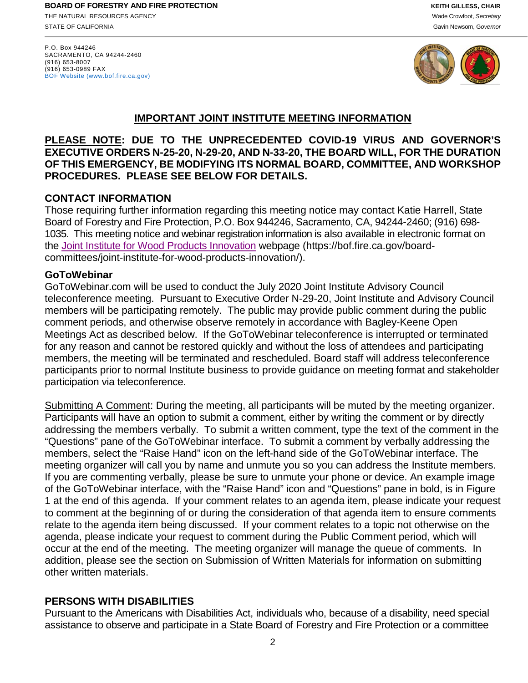P.O. Box 944246 SACRAMENTO, CA 94244-2460 (916) 653-8007 (916) 653-0989 FAX [BOF Website \(www.bof.fire.ca.gov\)](http://www.bof.fire.ca.gov/)



# **IMPORTANT JOINT INSTITUTE MEETING INFORMATION**

**PLEASE NOTE: DUE TO THE UNPRECEDENTED COVID-19 VIRUS AND GOVERNOR'S EXECUTIVE ORDERS N-25-20, N-29-20, AND N-33-20, THE BOARD WILL, FOR THE DURATION OF THIS EMERGENCY, BE MODIFYING ITS NORMAL BOARD, COMMITTEE, AND WORKSHOP PROCEDURES. PLEASE SEE BELOW FOR DETAILS.**

## **CONTACT INFORMATION**

Those requiring further information regarding this meeting notice may contact Katie Harrell, State Board of Forestry and Fire Protection, P.O. Box 944246, Sacramento, CA, 94244-2460; (916) 698- 1035. This meeting notice and webinar registration information is also available in electronic format on the [Joint Institute for Wood Products Innovation](https://bof.fire.ca.gov/board-committees/joint-institute-for-wood-products-innovation/) webpage (https://bof.fire.ca.gov/boardcommittees/joint-institute-for-wood-products-innovation/[\).](file://fphq01/Root/Data/Board_of_Forestry/Board%20Business/Agendas%20and%20Minutes/1%20Agendas/2019/.%20) 

#### **GoToWebinar**

GoToWebinar.com will be used to conduct the July 2020 Joint Institute Advisory Council teleconference meeting. Pursuant to Executive Order N-29-20, Joint Institute and Advisory Council members will be participating remotely. The public may provide public comment during the public comment periods, and otherwise observe remotely in accordance with Bagley-Keene Open Meetings Act as described below. If the GoToWebinar teleconference is interrupted or terminated for any reason and cannot be restored quickly and without the loss of attendees and participating members, the meeting will be terminated and rescheduled. Board staff will address teleconference participants prior to normal Institute business to provide guidance on meeting format and stakeholder participation via teleconference.

Submitting A Comment: During the meeting, all participants will be muted by the meeting organizer. Participants will have an option to submit a comment, either by writing the comment or by directly addressing the members verbally. To submit a written comment, type the text of the comment in the "Questions" pane of the GoToWebinar interface. To submit a comment by verbally addressing the members, select the "Raise Hand" icon on the left-hand side of the GoToWebinar interface. The meeting organizer will call you by name and unmute you so you can address the Institute members. If you are commenting verbally, please be sure to unmute your phone or device. An example image of the GoToWebinar interface, with the "Raise Hand" icon and "Questions" pane in bold, is in Figure 1 at the end of this agenda. If your comment relates to an agenda item, please indicate your request to comment at the beginning of or during the consideration of that agenda item to ensure comments relate to the agenda item being discussed. If your comment relates to a topic not otherwise on the agenda, please indicate your request to comment during the Public Comment period, which will occur at the end of the meeting. The meeting organizer will manage the queue of comments. In addition, please see the section on Submission of Written Materials for information on submitting other written materials.

# **PERSONS WITH DISABILITIES**

Pursuant to the Americans with Disabilities Act, individuals who, because of a disability, need special assistance to observe and participate in a State Board of Forestry and Fire Protection or a committee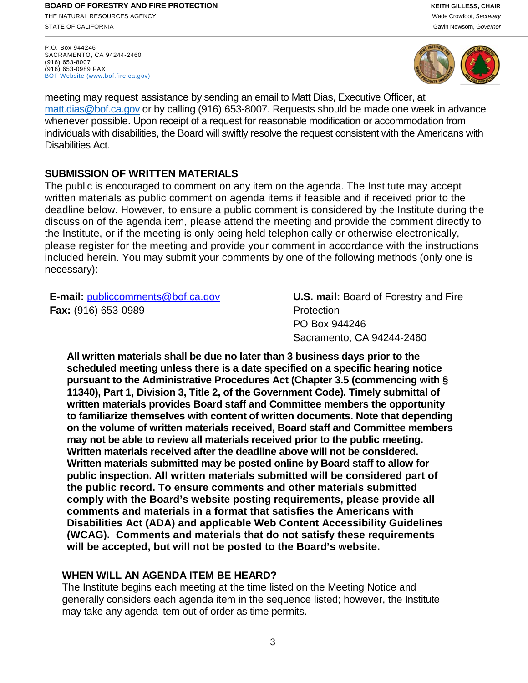**BOARD OF FORESTRY AND FIRE PROTECTION** *KEITH GILLESS, CHAIR* THE NATURAL RESOURCES AGENCY Wade Crowfoot, *Secretary* STATE OF CALIFORNIA Gavin Newsom, Governor California Gavin Newsom, Governor California Gavin Newsom, Governor

P.O. Box 944246 SACRAMENTO, CA 94244-2460 (916) 653-8007 (916) 653-0989 FAX [BOF Website \(www.bof.fire.ca.gov\)](http://www.bof.fire.ca.gov/)



meeting may request assistance by sending an email to Matt Dias, Executive Officer, at [matt.dias@bof.ca.gov](mailto:matt.dias@bof.ca.gov) or by calling (916) 653-8007. Requests should be made one week in advance whenever possible. Upon receipt of a request for reasonable modification or accommodation from individuals with disabilities, the Board will swiftly resolve the request consistent with the Americans with Disabilities Act.

## **SUBMISSION OF WRITTEN MATERIALS**

The public is encouraged to comment on any item on the agenda. The Institute may accept written materials as public comment on agenda items if feasible and if received prior to the deadline below. However, to ensure a public comment is considered by the Institute during the discussion of the agenda item, please attend the meeting and provide the comment directly to the Institute, or if the meeting is only being held telephonically or otherwise electronically, please register for the meeting and provide your comment in accordance with the instructions included herein. You may submit your comments by one of the following methods (only one is necessary):

**E-mail:** [publiccomments@bof.ca.gov](mailto:publiccomments@bof.ca.gov) **Fax:** (916) 653-0989

**U.S. mail:** Board of Forestry and Fire **Protection** PO Box 944246 Sacramento, CA 94244-2460

**All written materials shall be due no later than 3 business days prior to the scheduled meeting unless there is a date specified on a specific hearing notice pursuant to the Administrative Procedures Act (Chapter 3.5 (commencing with § 11340), Part 1, Division 3, Title 2, of the Government Code). Timely submittal of written materials provides Board staff and Committee members the opportunity to familiarize themselves with content of written documents. Note that depending on the volume of written materials received, Board staff and Committee members may not be able to review all materials received prior to the public meeting. Written materials received after the deadline above will not be considered. Written materials submitted may be posted online by Board staff to allow for public inspection. All written materials submitted will be considered part of the public record. To ensure comments and other materials submitted comply with the Board's website posting requirements, please provide all comments and materials in a format that satisfies the Americans with Disabilities Act (ADA) and applicable Web Content Accessibility Guidelines (WCAG). Comments and materials that do not satisfy these requirements will be accepted, but will not be posted to the Board's website.** 

# **WHEN WILL AN AGENDA ITEM BE HEARD?**

The Institute begins each meeting at the time listed on the Meeting Notice and generally considers each agenda item in the sequence listed; however, the Institute may take any agenda item out of order as time permits.